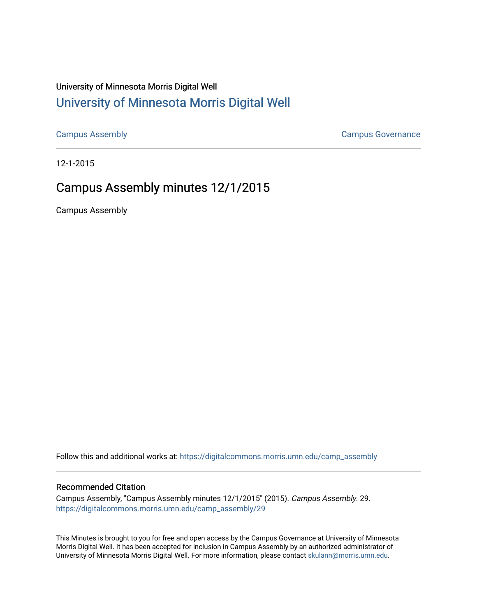# University of Minnesota Morris Digital Well [University of Minnesota Morris Digital Well](https://digitalcommons.morris.umn.edu/)

[Campus Assembly](https://digitalcommons.morris.umn.edu/camp_assembly) [Campus Governance](https://digitalcommons.morris.umn.edu/campgov) 

12-1-2015

# Campus Assembly minutes 12/1/2015

Campus Assembly

Follow this and additional works at: [https://digitalcommons.morris.umn.edu/camp\\_assembly](https://digitalcommons.morris.umn.edu/camp_assembly?utm_source=digitalcommons.morris.umn.edu%2Fcamp_assembly%2F29&utm_medium=PDF&utm_campaign=PDFCoverPages) 

# Recommended Citation

Campus Assembly, "Campus Assembly minutes 12/1/2015" (2015). Campus Assembly. 29. [https://digitalcommons.morris.umn.edu/camp\\_assembly/29](https://digitalcommons.morris.umn.edu/camp_assembly/29?utm_source=digitalcommons.morris.umn.edu%2Fcamp_assembly%2F29&utm_medium=PDF&utm_campaign=PDFCoverPages) 

This Minutes is brought to you for free and open access by the Campus Governance at University of Minnesota Morris Digital Well. It has been accepted for inclusion in Campus Assembly by an authorized administrator of University of Minnesota Morris Digital Well. For more information, please contact [skulann@morris.umn.edu](mailto:skulann@morris.umn.edu).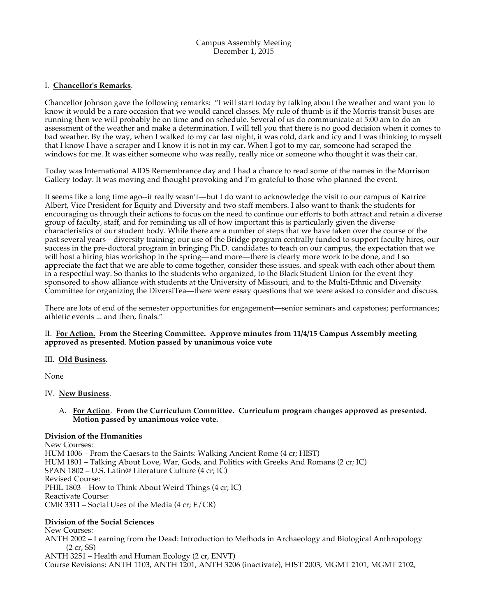### Campus Assembly Meeting December 1, 2015

# I. **Chancellor's Remarks**.

Chancellor Johnson gave the following remarks: "I will start today by talking about the weather and want you to know it would be a rare occasion that we would cancel classes. My rule of thumb is if the Morris transit buses are running then we will probably be on time and on schedule. Several of us do communicate at 5:00 am to do an assessment of the weather and make a determination. I will tell you that there is no good decision when it comes to bad weather. By the way, when I walked to my car last night, it was cold, dark and icy and I was thinking to myself that I know I have a scraper and I know it is not in my car. When I got to my car, someone had scraped the windows for me. It was either someone who was really, really nice or someone who thought it was their car.

Today was International AIDS Remembrance day and I had a chance to read some of the names in the Morrison Gallery today. It was moving and thought provoking and I'm grateful to those who planned the event.

It seems like a long time ago--it really wasn't—but I do want to acknowledge the visit to our campus of Katrice Albert, Vice President for Equity and Diversity and two staff members. I also want to thank the students for encouraging us through their actions to focus on the need to continue our efforts to both attract and retain a diverse group of faculty, staff, and for reminding us all of how important this is particularly given the diverse characteristics of our student body. While there are a number of steps that we have taken over the course of the past several years—diversity training; our use of the Bridge program centrally funded to support faculty hires, our success in the pre-doctoral program in bringing Ph.D. candidates to teach on our campus, the expectation that we will host a hiring bias workshop in the spring—and more—there is clearly more work to be done, and I so appreciate the fact that we are able to come together, consider these issues, and speak with each other about them in a respectful way. So thanks to the students who organized, to the Black Student Union for the event they sponsored to show alliance with students at the University of Missouri, and to the Multi-Ethnic and Diversity Committee for organizing the DiversiTea—there were essay questions that we were asked to consider and discuss.

There are lots of end of the semester opportunities for engagement—senior seminars and capstones; performances; athletic events ... and then, finals."

# II. **For Action. From the Steering Committee. Approve minutes from 11/4/15 Campus Assembly meeting approved as presented**. **Motion passed by unanimous voice vote**

# III. **Old Business***.*

None

# IV. **New Business**.

# A. **For Action**. **From the Curriculum Committee. Curriculum program changes approved as presented. Motion passed by unanimous voice vote.**

# **Division of the Humanities**

New Courses: HUM 1006 – From the Caesars to the Saints: Walking Ancient Rome (4 cr; HIST) HUM 1801 – Talking About Love, War, Gods, and Politics with Greeks And Romans (2 cr; IC) SPAN 1802 – U.S. Latin@ Literature Culture (4 cr; IC) Revised Course: PHIL 1803 – How to Think About Weird Things (4 cr; IC) Reactivate Course: CMR 3311 – Social Uses of the Media (4 cr; E/CR)

# **Division of the Social Sciences**

New Courses: ANTH 2002 – Learning from the Dead: Introduction to Methods in Archaeology and Biological Anthropology (2 cr, SS)

ANTH 3251 – Health and Human Ecology (2 cr, ENVT)

Course Revisions: ANTH 1103, ANTH 1201, ANTH 3206 (inactivate), HIST 2003, MGMT 2101, MGMT 2102,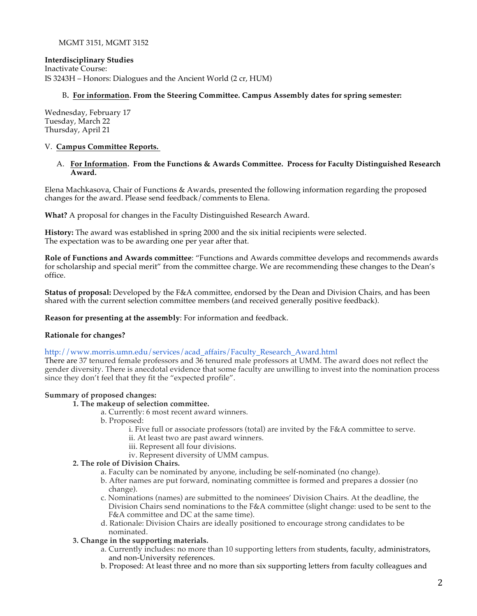# MGMT 3151, MGMT 3152

# **Interdisciplinary Studies**

Inactivate Course: IS 3243H – Honors: Dialogues and the Ancient World (2 cr, HUM)

### B**. For information. From the Steering Committee. Campus Assembly dates for spring semester:**

Wednesday, February 17 Tuesday, March 22 Thursday, April 21

#### V. **Campus Committee Reports.**

#### A. **For Information. From the Functions & Awards Committee. Process for Faculty Distinguished Research Award.**

Elena Machkasova, Chair of Functions & Awards, presented the following information regarding the proposed changes for the award. Please send feedback/comments to Elena.

**What?** A proposal for changes in the Faculty Distinguished Research Award.

**History:** The award was established in spring 2000 and the six initial recipients were selected. The expectation was to be awarding one per year after that.

**Role of Functions and Awards committee**: "Functions and Awards committee develops and recommends awards for scholarship and special merit" from the committee charge. We are recommending these changes to the Dean's office.

**Status of proposal:** Developed by the F&A committee, endorsed by the Dean and Division Chairs, and has been shared with the current selection committee members (and received generally positive feedback).

**Reason for presenting at the assembly**: For information and feedback.

#### **Rationale for changes?**

http://www.morris.umn.edu/services/acad\_affairs/Faculty\_Research\_Award.html

There are 37 tenured female professors and 36 tenured male professors at UMM. The award does not reflect the gender diversity. There is anecdotal evidence that some faculty are unwilling to invest into the nomination process since they don't feel that they fit the "expected profile".

# **Summary of proposed changes:**

#### **1. The makeup of selection committee.**

- a. Currently: 6 most recent award winners.
- b. Proposed:
	- i. Five full or associate professors (total) are invited by the F&A committee to serve.
	- ii. At least two are past award winners.
	- iii. Represent all four divisions.
	- iv. Represent diversity of UMM campus.

# **2. The role of Division Chairs.**

- a. Faculty can be nominated by anyone, including be self-nominated (no change).
- b. After names are put forward, nominating committee is formed and prepares a dossier (no change).
- c. Nominations (names) are submitted to the nominees' Division Chairs. At the deadline, the Division Chairs send nominations to the F&A committee (slight change: used to be sent to the F&A committee and DC at the same time).
- d. Rationale: Division Chairs are ideally positioned to encourage strong candidates to be nominated.

# **3. Change in the supporting materials.**

- a. Currently includes: no more than 10 supporting letters from students, faculty, administrators, and non-University references.
- b. Proposed: At least three and no more than six supporting letters from faculty colleagues and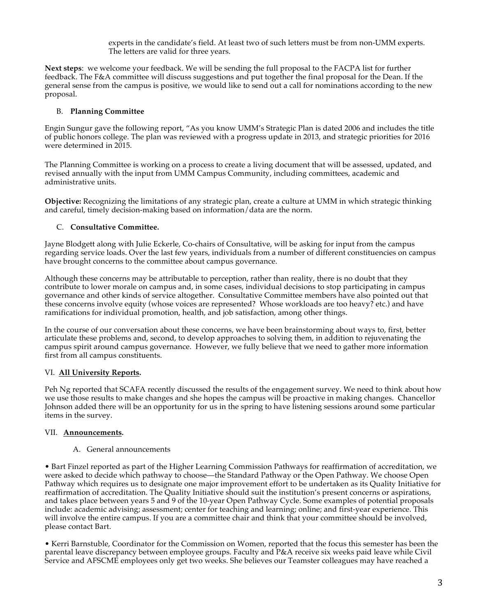experts in the candidate's field. At least two of such letters must be from non-UMM experts. The letters are valid for three years.

**Next steps**: we welcome your feedback. We will be sending the full proposal to the FACPA list for further feedback. The F&A committee will discuss suggestions and put together the final proposal for the Dean. If the general sense from the campus is positive, we would like to send out a call for nominations according to the new proposal.

# B. **Planning Committee**

Engin Sungur gave the following report, "As you know UMM's Strategic Plan is dated 2006 and includes the title of public honors college. The plan was reviewed with a progress update in 2013, and strategic priorities for 2016 were determined in 2015.

The Planning Committee is working on a process to create a living document that will be assessed, updated, and revised annually with the input from UMM Campus Community, including committees, academic and administrative units.

**Objective:** Recognizing the limitations of any strategic plan, create a culture at UMM in which strategic thinking and careful, timely decision-making based on information/data are the norm.

# C. **Consultative Committee.**

Jayne Blodgett along with Julie Eckerle, Co-chairs of Consultative, will be asking for input from the campus regarding service loads. Over the last few years, individuals from a number of different constituencies on campus have brought concerns to the committee about campus governance.

Although these concerns may be attributable to perception, rather than reality, there is no doubt that they contribute to lower morale on campus and, in some cases, individual decisions to stop participating in campus governance and other kinds of service altogether. Consultative Committee members have also pointed out that these concerns involve equity (whose voices are represented? Whose workloads are too heavy? etc.) and have ramifications for individual promotion, health, and job satisfaction, among other things.

In the course of our conversation about these concerns, we have been brainstorming about ways to, first, better articulate these problems and, second, to develop approaches to solving them, in addition to rejuvenating the campus spirit around campus governance. However, we fully believe that we need to gather more information first from all campus constituents.

# VI. **All University Reports.**

Peh Ng reported that SCAFA recently discussed the results of the engagement survey. We need to think about how we use those results to make changes and she hopes the campus will be proactive in making changes. Chancellor Johnson added there will be an opportunity for us in the spring to have listening sessions around some particular items in the survey.

# VII. **Announcements.**

# A. General announcements

• Bart Finzel reported as part of the Higher Learning Commission Pathways for reaffirmation of accreditation, we were asked to decide which pathway to choose—the Standard Pathway or the Open Pathway. We choose Open Pathway which requires us to designate one major improvement effort to be undertaken as its Quality Initiative for reaffirmation of accreditation. The Quality Initiative should suit the institution's present concerns or aspirations, and takes place between years 5 and 9 of the 10-year Open Pathway Cycle. Some examples of potential proposals include: academic advising; assessment; center for teaching and learning; online; and first-year experience. This will involve the entire campus. If you are a committee chair and think that your committee should be involved, please contact Bart.

• Kerri Barnstuble, Coordinator for the Commission on Women, reported that the focus this semester has been the parental leave discrepancy between employee groups. Faculty and P&A receive six weeks paid leave while Civil Service and AFSCME employees only get two weeks. She believes our Teamster colleagues may have reached a